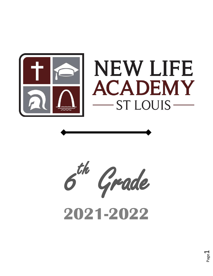

# **NEW LIFE ACADEMY ST LOUIS-**



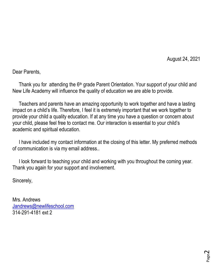August 24, 2021

Dear Parents,

Thank you for attending the 6<sup>th</sup> grade Parent Orientation. Your support of your child and New Life Academy will influence the quality of education we are able to provide.

 Teachers and parents have an amazing opportunity to work together and have a lasting impact on a child's life. Therefore, I feel it is extremely important that we work together to provide your child a quality education. If at any time you have a question or concern about your child, please feel free to contact me. Our interaction is essential to your child's academic and spiritual education.

 I have included my contact information at the closing of this letter. My preferred methods of communication is via my email address..

 I look forward to teaching your child and working with you throughout the coming year. Thank you again for your support and involvement.

Sincerely,

Mrs. Andrews [Jandrews@newlifeschool.com](mailto:Jandrews@newlifeschool.com) 314-291-4181 ext 2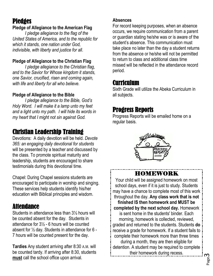#### **Pledges**

#### **Pledge of Allegiance to the American Flag**

 *I pledge allegiance to the flag of the United States of America, and to the republic for which it stands, one nation under God, indivisible, with liberty and justice for all*.

#### **Pledge of Allegiance to the Christian Flag**

 *I pledge allegiance to the Christian flag, and to the Savior for Whose kingdom it stands, one Savior, crucified, risen and coming again, with life and liberty for all who believe.*

#### **Pledge of Allegiance to the Bible**

 *I pledge allegiance to the Bible, God's Holy Word. I will make it a lamp unto my feet and a light unto my path. I will hide its words in my heart that I might not sin against God.*

#### Christian Leadership Training

Devotions: A daily devotion will be held. *Devote 365: an engaging daily devotional for students* will be presented by a teacher and discussed by the class. To promote spiritual maturity and leadership, students are encouraged to share testimonials during this devotional time.

Chapel: During Chapel sessions students are encouraged to participate in worship and singing. These services help students identify his/her education with Biblical principles and wisdom.

#### Attendance

Students in attendance less than 3½ hours will be counted absent for the day. Students in attendance for 3½ - 6 hours will be counted absent for ½ day. Students in attendance for 6 - 7 hours will be counted present for the day.

**Tardies** Any student arriving after 8:30 A.M. will be counted tardy. If arriving after 8:30, students **must** call the school office upon arrival.

#### **Absences**

For record keeping purposes, when an absence occurs, we require communication from a parent or guardian stating he/she was or is aware of the student's absence. This communication must take place no later than the day a student returns from the absence or he/she will not be permitted to return to class and additional class time missed will be reflected in the attendance record period.

#### Curriculum

Sixth Grade will utilize the Abeka Curriculum in all subjects.

#### Progress Reports

Progress Reports will be emailed home on a regular basis.



#### HOMEWORK

Your child will be assigned homework on most school days, even if it is just to study. Students may have a chance to complete most of this work throughout the day. **Any class work that is not finished IS then homework and MUST be completed by the next school day.** Homework is sent home in the students' binder. Each morning, homework is collected, reviewed, graded and returned to the students. Students **do** receive a grade for homework. If a student fails to complete their homework more than three times during a month, they are then eligible for detention. A student may be required to complete their homework during recess.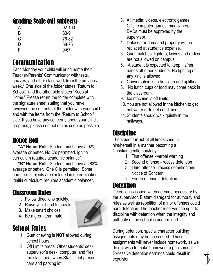## Grading Scale (all subjects)

| A | 92-100   |
|---|----------|
| B | 83-91    |
| C | 76-82    |
| D | 68-75    |
| F | $0 - 67$ |
|   |          |

## **Communication**

Each Monday your child will bring home their Teacher/Parents' Communicator with tests, quizzes, and other class work from the previous week.\* One side of the folder states "Return to School," and the other side states "Keep at Home." Please return the folder complete with the signature sheet stating that you have reviewed the contents of the folder with your child and with the items from the "Return to School" side. If you have any concerns about your child's progress, please contact me as soon as possible.

## Honor Roll

 **"A" Honor Roll** Student must have a 92% average or better. No C's permitted. Ignitia curriculum requires academic balance\*.

 **"B" Honor Roll** Student must have an 83% average or better. One C is permitted. Some non-core subjects are excluded in determination. Ignitia curriculum requires academic balance\*.

## Classroom Rules

- 1. Follow directions quickly.
- 2. Raise your hand to speak.
- 3. Make smart choices.
- 4. Be a great teammate.

## School Rules

- 1. Gum chewing is **NOT** allowed during school hours.
- 2. Off Limits areas: Other students' desk, supervisor's desk, computer, and files, the classroom when Staff is not present, cars and parking lot.
- 3. All media: videos, electronic games, CDs, computer games, magazines, DVDs must be approved by the supervisor.
- 4. Defaced or damaged property will be replaced at student's expense.
- 5. Gun, matches, lighters, knives and radios are not allowed on campus.
- 6. A student is expected to keep his/her hands off other students. No fighting of any kind is allowed.
- 7. Conversation is to be clean and uplifting.
- 8. No lunch cups or food may come back in the classroom.
- 9. Ice machine is off limits.
- 10. You are not allowed in the kitchen to get hot water or to get condiments.
- 11. Students should walk quietly in the hallways.

## Discipline

The student **must** at all times conduct him/herself in a manner becoming a Christian gentleman/lady.

- 1. First offense verbal warning
- 2. Second offense recess detention
- 3. Third offense recess detention and Notice of Concern
- *4.* Fourth offense detention

#### **Detention**

Detention is issued when deemed necessary by the supervisor. Blatant disregard for authority and rules as well as repetition of minor offenses could earn detention. The teacher reserves the right to discipline with detention when the integrity and authority of the school is undermined.

During detention, special character building assignments may be prescribed. These assignments will never include homework, as we do not wish to make homework a punishment. Excessive detention earnings could result in expulsion.



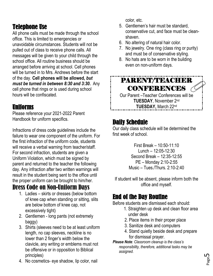#### Telephone Use

All phone calls must be made through the school office. This is limited to emergencies or unavoidable circumstances. Students will not be pulled out of class to receive phone calls. All messages will be given to your child through the school office. All routine business should be arranged before arriving at school. Cell phones will be turned in to Mrs. Andrews before the start of the day. **Cell phones will be allowed,** *but must be turned in between 8:30 and 3:30***.** Any cell phone that rings or is used during school hours will be confiscated.

#### Uniforms

Please reference your 2021-2022 Parent Handbook for uniform specifics.

Infractions of dress code guidelines include the failure to wear one component of the uniform. For the first infraction of the uniform code, students will receive a verbal warning from teacher/staff. For second infraction, students are given a Uniform Violation, which must be signed by parent and returned to the teacher the following day. Any infraction after two written warnings will result in the student being sent to the office until the proper uniform can be brought to him/her.

#### Dress Code on Non-Uniform Days

- 1. Ladies skirts or dresses (below bottom of knee cap when standing or sitting, slits are below bottom of knee cap, not excessively tight)
- 2. Gentlemen long pants (not extremely baggy)
- 3. Shirts (sleeves need to be at least uniform length, no cap sleeves, neckline is no lower than 2 finger's width below the clavicle, any writing or emblems must not be offensive or in opposition to Biblical principles)
- 4. No cosmetics- eye shadow, lip color, nail

color, etc.

- 5. Gentlemen's hair must be standard, conservative cut, and face must be cleanshaven.
- 6. No altering of natural hair color.
- 7. No jewelry. One ring (class ring or purity) and must be of conservative styling.
- 8. No hats are to be worn in the building even on non-uniform days.

PARENT/TEACHER CONFERENCES Our Parent –Teacher Conferences will be TUESDAY, November 2<sup>nd</sup> TUESDAY, March 22<sup>nd</sup>

## Daily Schedule

Our daily class schedule will be determined the first week of school.

> First Break – 10:50-11:10 Lunch – 12:05-12:30 Second Break – 12:35-12:55 PE – Monday 2:10-2:55 Music – Tues./Thurs. 2:10-2:40

If student will be absent, please inform both the office and myself.

#### End of the Day Routine

Before students are dismissed each should:

- 1. Straighten up desk and clean floor area under desk
- 2. Place items in their proper place
- 3. Sanitize desk and computers
- 4. Stand quietly beside desk and prepare for dismissal prayer.
- *Please Note: Classroom cleanup is the class's responsibility, therefore, additional tasks may be assigned.*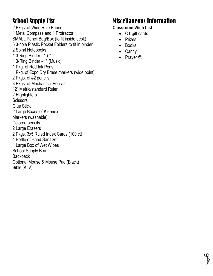## School Supply List

2 Pkgs. of Wide Rule Paper 1 Metal Compass and 1 Protractor SMALL Pencil Bag/Box (to fit inside desk) 5 3-hole Plastic Pocket Folders to fit in binder 2 Spiral Notebooks 1 3-Ring Binder - 1.5" 1 3-Ring Binder - 1" (Music) 1 Pkg. of Red Ink Pens 1 Pkg. of Expo Dry Erase markers (wide point) 2 Pkgs. of #2 pencils 3 Pkgs. of Mechanical Pencils 12" Metric/standard Ruler 2 Highlighters **Scissors** Glue Stick 2 Large Boxes of Kleenex Markers (washable) Colored pencils 2 Large Erasers 2 Pkgs. 3x5 Ruled Index Cards (100 ct) 1 Bottle of Hand Sanitizer 1 Large Box of Wet Wipes School Supply Box **Backpack** Optional Mouse & Mouse Pad (Black) Bible (KJV)

#### Miscellaneous Information

#### **Classroom Wish List**

- QT gift cards
- Prizes
- Books
- Candy
- Prayer  $\odot$